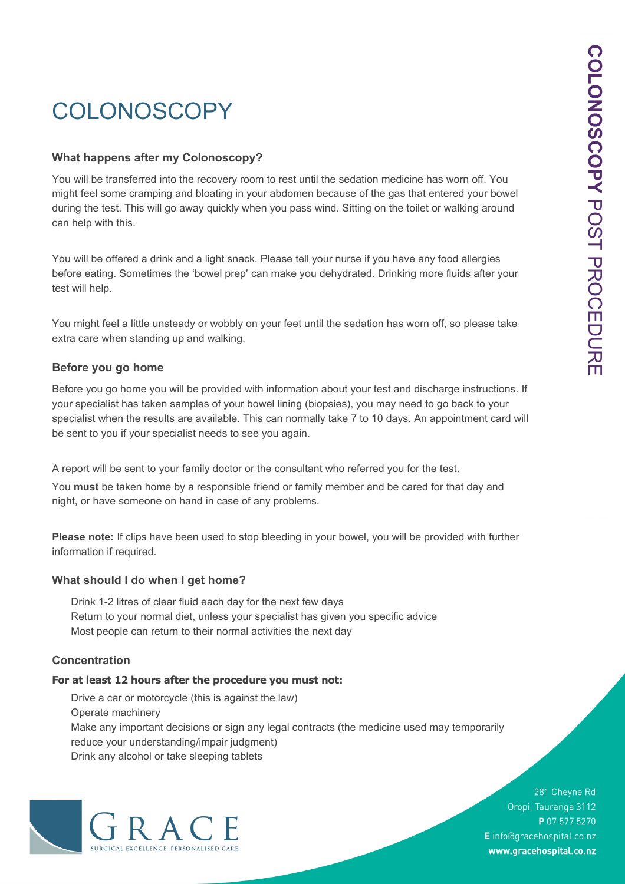# **COLONOSCOPY**

#### **What happens after my Colonoscopy?**

You will be transferred into the recovery room to rest until the sedation medicine has worn off. You might feel some cramping and bloating in your abdomen because of the gas that entered your bowel during the test. This will go away quickly when you pass wind. Sitting on the toilet or walking around can help with this.

You will be offered a drink and a light snack. Please tell your nurse if you have any food allergies before eating. Sometimes the 'bowel prep' can make you dehydrated. Drinking more fluids after your test will help.

You might feel a little unsteady or wobbly on your feet until the sedation has worn off, so please take extra care when standing up and walking.

#### **Before you go home**

Before you go home you will be provided with information about your test and discharge instructions. If your specialist has taken samples of your bowel lining (biopsies), you may need to go back to your specialist when the results are available. This can normally take 7 to 10 days. An appointment card will be sent to you if your specialist needs to see you again.

A report will be sent to your family doctor or the consultant who referred you for the test.

You **must** be taken home by a responsible friend or family member and be cared for that day and night, or have someone on hand in case of any problems.

**Please note:** If clips have been used to stop bleeding in your bowel, you will be provided with further information if required.

#### **What should I do when I get home?**

Drink 1-2 litres of clear fluid each day for the next few days Return to your normal diet, unless your specialist has given you specific advice Most people can return to their normal activities the next day

#### **Concentration**

#### **For at least 12 hours after the procedure you must not:**

Drive a car or motorcycle (this is against the law) Operate machinery Make any important decisions or sign any legal contracts (the medicine used may temporarily reduce your understanding/impair judgment) Drink any alcohol or take sleeping tablets



281 Cheyne Rd Oropi, Tauranga 3112 P 07 577 5270 E info@gracehospital.co.nz www.gracehospital.co.nz